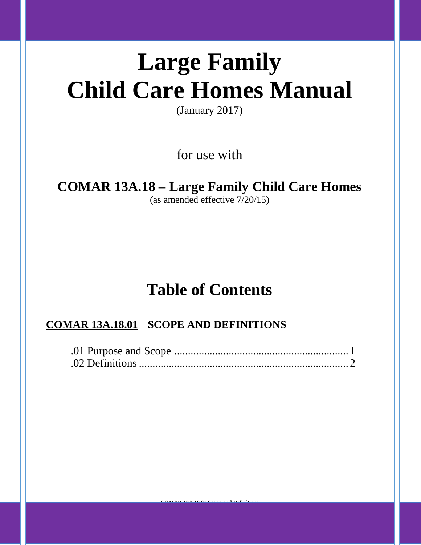# **Large Family Child Care Homes Manual**

(January 2017)

for use with

## **COMAR 13A.18 – Large Family Child Care Homes**

(as amended effective 7/20/15)

### **Table of Contents**

### **COMAR 13A.18.01 SCOPE AND DEFINITIONS**

**COMAR 13A.18.01 Scope and Definitions**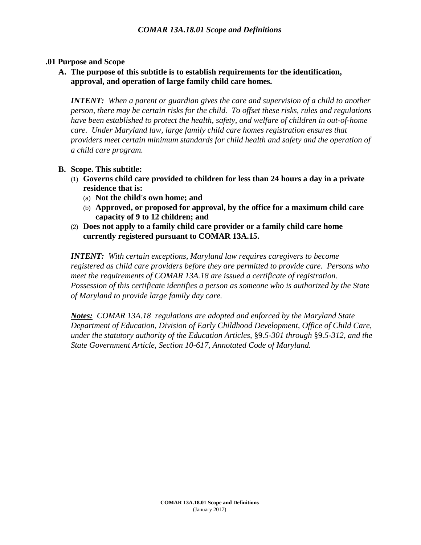#### **.01 Purpose and Scope**

**A. The purpose of this subtitle is to establish requirements for the identification, approval, and operation of large family child care homes.** 

*INTENT: When a parent or guardian gives the care and supervision of a child to another person, there may be certain risks for the child. To offset these risks, rules and regulations have been established to protect the health, safety, and welfare of children in out-of-home care. Under Maryland law, large family child care homes registration ensures that providers meet certain minimum standards for child health and safety and the operation of a child care program.*

#### **B. Scope. This subtitle:**

- (1) **Governs child care provided to children for less than 24 hours a day in a private residence that is:** 
	- (a) **Not the child's own home; and**
	- (b) **Approved, or proposed for approval, by the office for a maximum child care capacity of 9 to 12 children; and**
- (2) **Does not apply to a family child care provider or a family child care home currently registered pursuant to COMAR 13A.15.**

*INTENT: With certain exceptions, Maryland law requires caregivers to become registered as child care providers before they are permitted to provide care. Persons who meet the requirements of COMAR 13A.18 are issued a certificate of registration. Possession of this certificate identifies a person as someone who is authorized by the State of Maryland to provide large family day care.*

*Notes: COMAR 13A.18 regulations are adopted and enforced by the Maryland State Department of Education, Division of Early Childhood Development, Office of Child Care, under the statutory authority of the Education Articles,* §9*.5-301 through* §9*.5-312, and the State Government Article, Section 10-617, Annotated Code of Maryland.*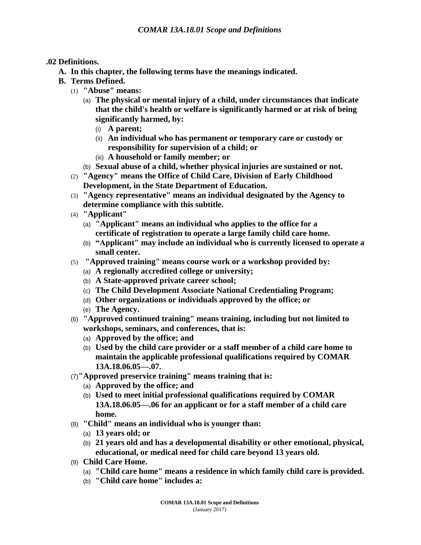#### **.02 Definitions.**

- **A. In this chapter, the following terms have the meanings indicated.**
- **B. Terms Defined.**
	- (1) **"Abuse" means:**
		- (a) **The physical or mental injury of a child, under circumstances that indicate that the child's health or welfare is significantly harmed or at risk of being significantly harmed, by:**
			- (i) **A parent;**
			- (ii) **An individual who has permanent or temporary care or custody or responsibility for supervision of a child; or**
			- (iii) **A household or family member; or**
		- (b) **Sexual abuse of a child, whether physical injuries are sustained or not.**
	- (2) **"Agency" means the Office of Child Care, Division of Early Childhood Development, in the State Department of Education.**
	- (3) **"Agency representative" means an individual designated by the Agency to determine compliance with this subtitle.**
	- (4) **"Applicant"** 
		- (a) **"Applicant" means an individual who applies to the office for a certificate of registration to operate a large family child care home.**
		- (b) **"Applicant" may include an individual who is currently licensed to operate a small center.**
	- (5) **"Approved training" means course work or a workshop provided by:**
		- (a) **A regionally accredited college or university;**
		- (b) **A State-approved private career school;**
		- (c) **The Child Development Associate National Credentialing Program;**
		- (d) **Other organizations or individuals approved by the office; or**
		- (e) **The Agency.**
	- (6) **"Approved continued training" means training, including but not limited to workshops, seminars, and conferences, that is:**
		- (a) **Approved by the office; and**
		- (b) **Used by the child care provider or a staff member of a child care home to maintain the applicable professional qualifications required by COMAR 13A.18.06.05—.07.**
	- (7)**"Approved preservice training" means training that is:**
		- (a) **Approved by the office; and**
		- (b) **Used to meet initial professional qualifications required by COMAR 13A.18.06.05—.06 for an applicant or for a staff member of a child care home.**
	- (8) **"Child" means an individual who is younger than:**
		- (a) **13 years old; or**
		- (b) **21 years old and has a developmental disability or other emotional, physical, educational, or medical need for child care beyond 13 years old.**
	- (9) **Child Care Home.**
		- (a) **"Child care home" means a residence in which family child care is provided.**
		- (b) **"Child care home" includes a:**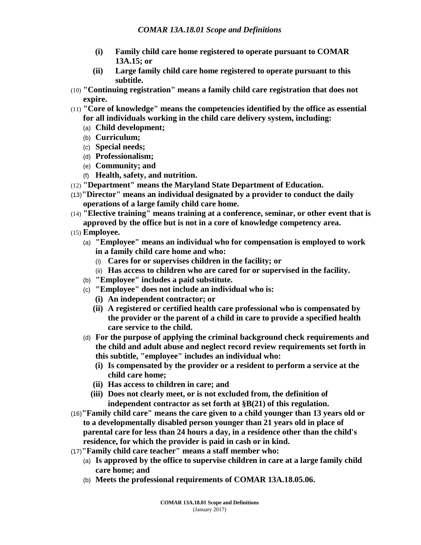- **(i) Family child care home registered to operate pursuant to COMAR 13A.15; or**
- **(ii) Large family child care home registered to operate pursuant to this subtitle.**
- (10) **"Continuing registration" means a family child care registration that does not expire.**
- (11) **"Core of knowledge" means the competencies identified by the office as essential for all individuals working in the child care delivery system, including:** 
	- (a) **Child development;**
	- (b) **Curriculum;**
	- (c) **Special needs;**
	- (d) **Professionalism;**
	- (e) **Community; and**
	- (f) **Health, safety, and nutrition.**
- (12) **"Department" means the Maryland State Department of Education.**
- (13)**"Director" means an individual designated by a provider to conduct the daily operations of a large family child care home.**
- (14) **"Elective training" means training at a conference, seminar, or other event that is approved by the office but is not in a core of knowledge competency area.**
- (15) **Employee.**
	- (a) **"Employee" means an individual who for compensation is employed to work in a family child care home and who:**
		- (i) **Cares for or supervises children in the facility; or**
	- (ii) **Has access to children who are cared for or supervised in the facility.**
	- (b) **"Employee" includes a paid substitute.**
	- (c) **"Employee" does not include an individual who is:**
		- **(i) An independent contractor; or**
		- **(ii) A registered or certified health care professional who is compensated by the provider or the parent of a child in care to provide a specified health care service to the child.**
	- (d) **For the purpose of applying the criminal background check requirements and the child and adult abuse and neglect record review requirements set forth in this subtitle, "employee" includes an individual who:**
		- **(i) Is compensated by the provider or a resident to perform a service at the child care home;**
		- **(ii) Has access to children in care; and**
		- **(iii) Does not clearly meet, or is not excluded from, the definition of independent contractor as set forth at §B(21) of this regulation.**
- (16)**"Family child care" means the care given to a child younger than 13 years old or to a developmentally disabled person younger than 21 years old in place of parental care for less than 24 hours a day, in a residence other than the child's residence, for which the provider is paid in cash or in kind.**
- (17)**"Family child care teacher" means a staff member who:**
	- (a) **Is approved by the office to supervise children in care at a large family child care home; and**
	- (b) **Meets the professional requirements of COMAR 13A.18.05.06.**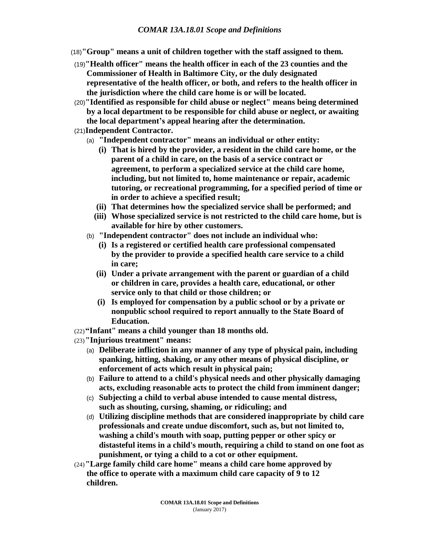- (18)**"Group" means a unit of children together with the staff assigned to them.**
- (19)**"Health officer" means the health officer in each of the 23 counties and the Commissioner of Health in Baltimore City, or the duly designated representative of the health officer, or both, and refers to the health officer in the jurisdiction where the child care home is or will be located.**
- (20)**"Identified as responsible for child abuse or neglect" means being determined by a local department to be responsible for child abuse or neglect, or awaiting the local department's appeal hearing after the determination.**
- (21)**Independent Contractor.**
	- (a) **"Independent contractor" means an individual or other entity:**
		- **(i) That is hired by the provider, a resident in the child care home, or the parent of a child in care, on the basis of a service contract or agreement, to perform a specialized service at the child care home, including, but not limited to, home maintenance or repair, academic tutoring, or recreational programming, for a specified period of time or in order to achieve a specified result;**
		- **(ii) That determines how the specialized service shall be performed; and**
		- **(iii) Whose specialized service is not restricted to the child care home, but is available for hire by other customers.**
	- (b) **"Independent contractor" does not include an individual who:**
		- **(i) Is a registered or certified health care professional compensated by the provider to provide a specified health care service to a child in care;**
		- **(ii) Under a private arrangement with the parent or guardian of a child or children in care, provides a health care, educational, or other service only to that child or those children; or**
		- **(i) Is employed for compensation by a public school or by a private or nonpublic school required to report annually to the State Board of Education.**
- (22)**"Infant" means a child younger than 18 months old.**
- (23)**"Injurious treatment" means:**
	- (a) **Deliberate infliction in any manner of any type of physical pain, including spanking, hitting, shaking, or any other means of physical discipline, or enforcement of acts which result in physical pain;**
	- (b) **Failure to attend to a child's physical needs and other physically damaging acts, excluding reasonable acts to protect the child from imminent danger;**
	- (c) **Subjecting a child to verbal abuse intended to cause mental distress, such as shouting, cursing, shaming, or ridiculing; and**
	- (d) **Utilizing discipline methods that are considered inappropriate by child care professionals and create undue discomfort, such as, but not limited to, washing a child's mouth with soap, putting pepper or other spicy or distasteful items in a child's mouth, requiring a child to stand on one foot as punishment, or tying a child to a cot or other equipment.**
- (24)**"Large family child care home" means a child care home approved by the office to operate with a maximum child care capacity of 9 to 12 children.**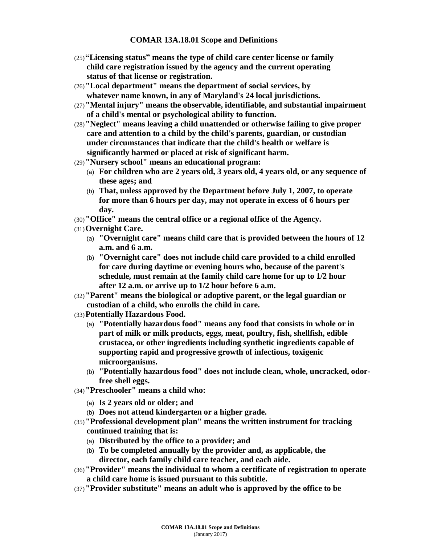#### **COMAR 13A.18.01 Scope and Definitions**

- (25)**"Licensing status" means the type of child care center license or family child care registration issued by the agency and the current operating status of that license or registration.**
- (26)**"Local department" means the department of social services, by whatever name known, in any of Maryland's 24 local jurisdictions.**
- (27)**"Mental injury" means the observable, identifiable, and substantial impairment of a child's mental or psychological ability to function.**
- (28)**"Neglect" means leaving a child unattended or otherwise failing to give proper care and attention to a child by the child's parents, guardian, or custodian under circumstances that indicate that the child's health or welfare is significantly harmed or placed at risk of significant harm.**
- (29)**"Nursery school" means an educational program:**
	- (a) **For children who are 2 years old, 3 years old, 4 years old, or any sequence of these ages; and**
	- (b) **That, unless approved by the Department before July 1, 2007, to operate for more than 6 hours per day, may not operate in excess of 6 hours per day.**
- (30)**"Office" means the central office or a regional office of the Agency.**
- (31)**Overnight Care.**
	- (a) **"Overnight care" means child care that is provided between the hours of 12 a.m. and 6 a.m.**
	- (b) **"Overnight care" does not include child care provided to a child enrolled for care during daytime or evening hours who, because of the parent's schedule, must remain at the family child care home for up to 1/2 hour after 12 a.m. or arrive up to 1/2 hour before 6 a.m.**
- (32)**"Parent" means the biological or adoptive parent, or the legal guardian or custodian of a child, who enrolls the child in care.**
- (33)**Potentially Hazardous Food.**
	- (a) **"Potentially hazardous food" means any food that consists in whole or in part of milk or milk products, eggs, meat, poultry, fish, shellfish, edible crustacea, or other ingredients including synthetic ingredients capable of supporting rapid and progressive growth of infectious, toxigenic microorganisms.**
	- (b) **"Potentially hazardous food" does not include clean, whole, uncracked, odorfree shell eggs.**
- (34)**"Preschooler" means a child who:**
	- (a) **Is 2 years old or older; and**
	- (b) **Does not attend kindergarten or a higher grade.**
- (35)**"Professional development plan" means the written instrument for tracking continued training that is:**
	- (a) **Distributed by the office to a provider; and**
	- (b) **To be completed annually by the provider and, as applicable, the director, each family child care teacher, and each aide.**
- (36)**"Provider" means the individual to whom a certificate of registration to operate a child care home is issued pursuant to this subtitle.**
- (37)**"Provider substitute" means an adult who is approved by the office to be**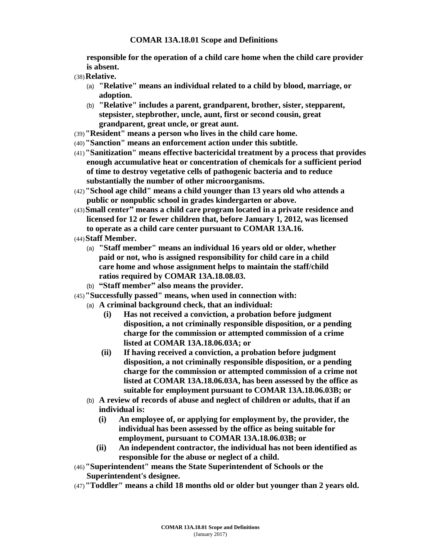#### **COMAR 13A.18.01 Scope and Definitions**

**responsible for the operation of a child care home when the child care provider is absent.**

- (38)**Relative.**
	- (a) **"Relative" means an individual related to a child by blood, marriage, or adoption.**
	- (b) **"Relative" includes a parent, grandparent, brother, sister, stepparent, stepsister, stepbrother, uncle, aunt, first or second cousin, great grandparent, great uncle, or great aunt.**
- (39)**"Resident" means a person who lives in the child care home.**
- (40)**"Sanction" means an enforcement action under this subtitle.**
- (41)**"Sanitization" means effective bactericidal treatment by a process that provides enough accumulative heat or concentration of chemicals for a sufficient period of time to destroy vegetative cells of pathogenic bacteria and to reduce substantially the number of other microorganisms.**
- (42)**"School age child" means a child younger than 13 years old who attends a public or nonpublic school in grades kindergarten or above.**
- (43)**Small center" means a child care program located in a private residence and licensed for 12 or fewer children that, before January 1, 2012, was licensed to operate as a child care center pursuant to COMAR 13A.16.**
- (44)**Staff Member.**
	- (a) **"Staff member" means an individual 16 years old or older, whether paid or not, who is assigned responsibility for child care in a child care home and whose assignment helps to maintain the staff/child ratios required by COMAR 13A.18.08.03.**
	- (b) **"Staff member" also means the provider.**
- (45)**"Successfully passed" means, when used in connection with:**
	- (a) **A criminal background check, that an individual:**
		- **(i) Has not received a conviction, a probation before judgment disposition, a not criminally responsible disposition, or a pending charge for the commission or attempted commission of a crime listed at COMAR 13A.18.06.03A; or**
		- **(ii) If having received a conviction, a probation before judgment disposition, a not criminally responsible disposition, or a pending charge for the commission or attempted commission of a crime not listed at COMAR 13A.18.06.03A, has been assessed by the office as suitable for employment pursuant to COMAR 13A.18.06.03B; or**
	- (b) **A review of records of abuse and neglect of children or adults, that if an individual is:**
		- **(i) An employee of, or applying for employment by, the provider, the individual has been assessed by the office as being suitable for employment, pursuant to COMAR 13A.18.06.03B; or**
		- **(ii) An independent contractor, the individual has not been identified as responsible for the abuse or neglect of a child.**
- (46)**"Superintendent" means the State Superintendent of Schools or the Superintendent's designee.**
- (47)**"Toddler" means a child 18 months old or older but younger than 2 years old.**